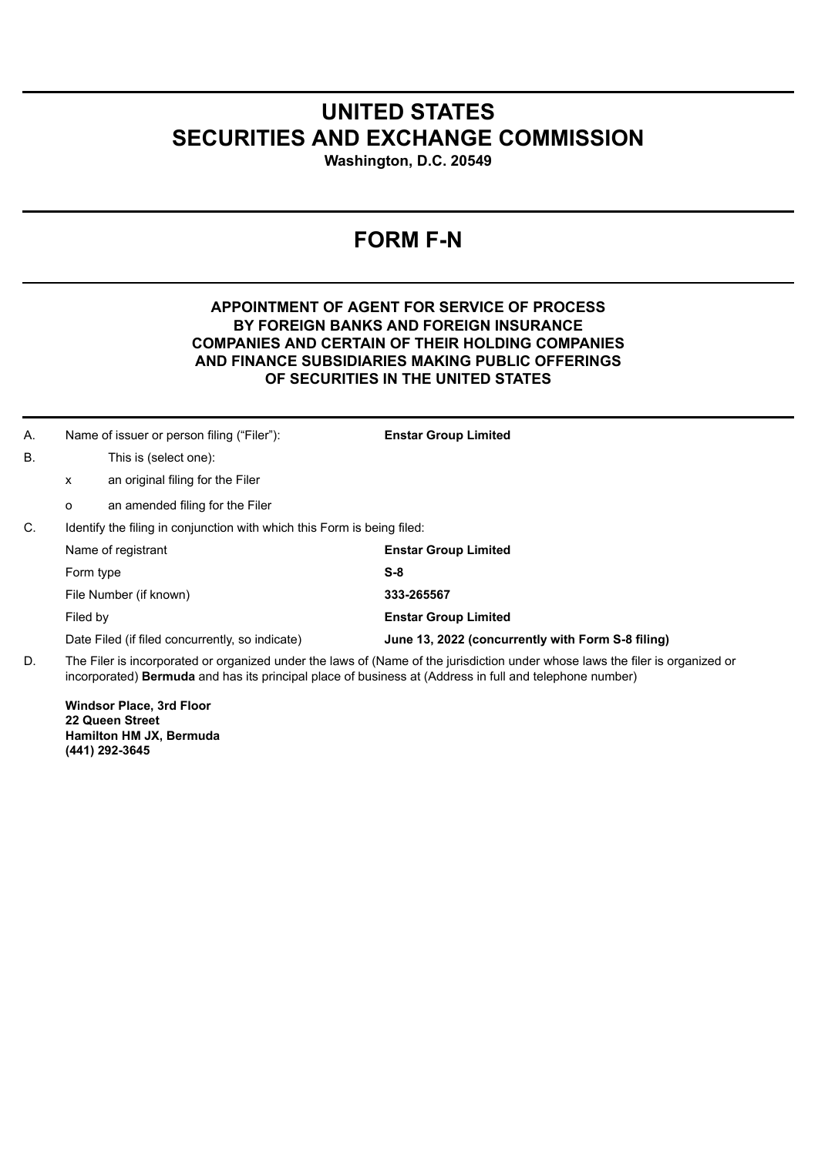## **UNITED STATES SECURITIES AND EXCHANGE COMMISSION**

**Washington, D.C. 20549**

## **FORM F-N**

## **APPOINTMENT OF AGENT FOR SERVICE OF PROCESS BY FOREIGN BANKS AND FOREIGN INSURANCE COMPANIES AND CERTAIN OF THEIR HOLDING COMPANIES AND FINANCE SUBSIDIARIES MAKING PUBLIC OFFERINGS OF SECURITIES IN THE UNITED STATES**

| А. | Name of issuer or person filing ("Filer"):                                                                                    |                                  | <b>Enstar Group Limited</b>                       |
|----|-------------------------------------------------------------------------------------------------------------------------------|----------------------------------|---------------------------------------------------|
| В. |                                                                                                                               | This is (select one):            |                                                   |
|    | X                                                                                                                             | an original filing for the Filer |                                                   |
|    | $\circ$                                                                                                                       | an amended filing for the Filer  |                                                   |
| C. | Identify the filing in conjunction with which this Form is being filed:                                                       |                                  |                                                   |
|    | Name of registrant                                                                                                            |                                  | <b>Enstar Group Limited</b>                       |
|    | Form type                                                                                                                     |                                  | $S-8$                                             |
|    | File Number (if known)                                                                                                        |                                  | 333-265567                                        |
|    | Filed by                                                                                                                      |                                  | <b>Enstar Group Limited</b>                       |
|    | Date Filed (if filed concurrently, so indicate)                                                                               |                                  | June 13, 2022 (concurrently with Form S-8 filing) |
| n. | The Filer is incorporated or organized under the laws of (Name of the jurisdiction under whose laws the filer is organized or |                                  |                                                   |

D. The Filer is incorporated or organized under the laws of (Name of the jurisdiction under whose laws the filer is organized or incorporated) **Bermuda** and has its principal place of business at (Address in full and telephone number)

**Windsor Place, 3rd Floor 22 Queen Street Hamilton HM JX, Bermuda (441) 292-3645**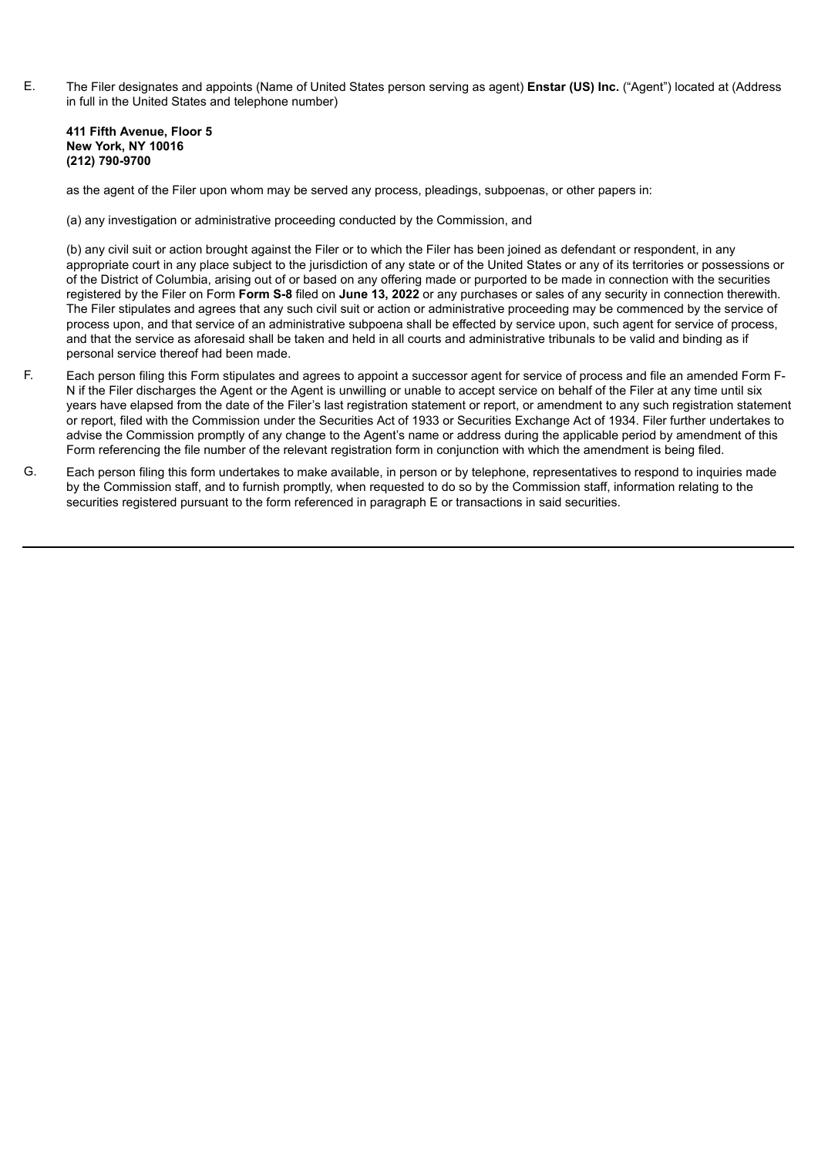E. The Filer designates and appoints (Name of United States person serving as agent) **Enstar (US) Inc.** ("Agent") located at (Address in full in the United States and telephone number)

## **411 Fifth Avenue, Floor 5 New York, NY 10016 (212) 790-9700**

as the agent of the Filer upon whom may be served any process, pleadings, subpoenas, or other papers in:

(a) any investigation or administrative proceeding conducted by the Commission, and

(b) any civil suit or action brought against the Filer or to which the Filer has been joined as defendant or respondent, in any appropriate court in any place subject to the jurisdiction of any state or of the United States or any of its territories or possessions or of the District of Columbia, arising out of or based on any offering made or purported to be made in connection with the securities registered by the Filer on Form **Form S-8** filed on **June 13, 2022** or any purchases or sales of any security in connection therewith. The Filer stipulates and agrees that any such civil suit or action or administrative proceeding may be commenced by the service of process upon, and that service of an administrative subpoena shall be effected by service upon, such agent for service of process, and that the service as aforesaid shall be taken and held in all courts and administrative tribunals to be valid and binding as if personal service thereof had been made.

- F. Each person filing this Form stipulates and agrees to appoint a successor agent for service of process and file an amended Form F-N if the Filer discharges the Agent or the Agent is unwilling or unable to accept service on behalf of the Filer at any time until six years have elapsed from the date of the Filer's last registration statement or report, or amendment to any such registration statement or report, filed with the Commission under the Securities Act of 1933 or Securities Exchange Act of 1934. Filer further undertakes to advise the Commission promptly of any change to the Agent's name or address during the applicable period by amendment of this Form referencing the file number of the relevant registration form in conjunction with which the amendment is being filed.
- G. Each person filing this form undertakes to make available, in person or by telephone, representatives to respond to inquiries made by the Commission staff, and to furnish promptly, when requested to do so by the Commission staff, information relating to the securities registered pursuant to the form referenced in paragraph E or transactions in said securities.